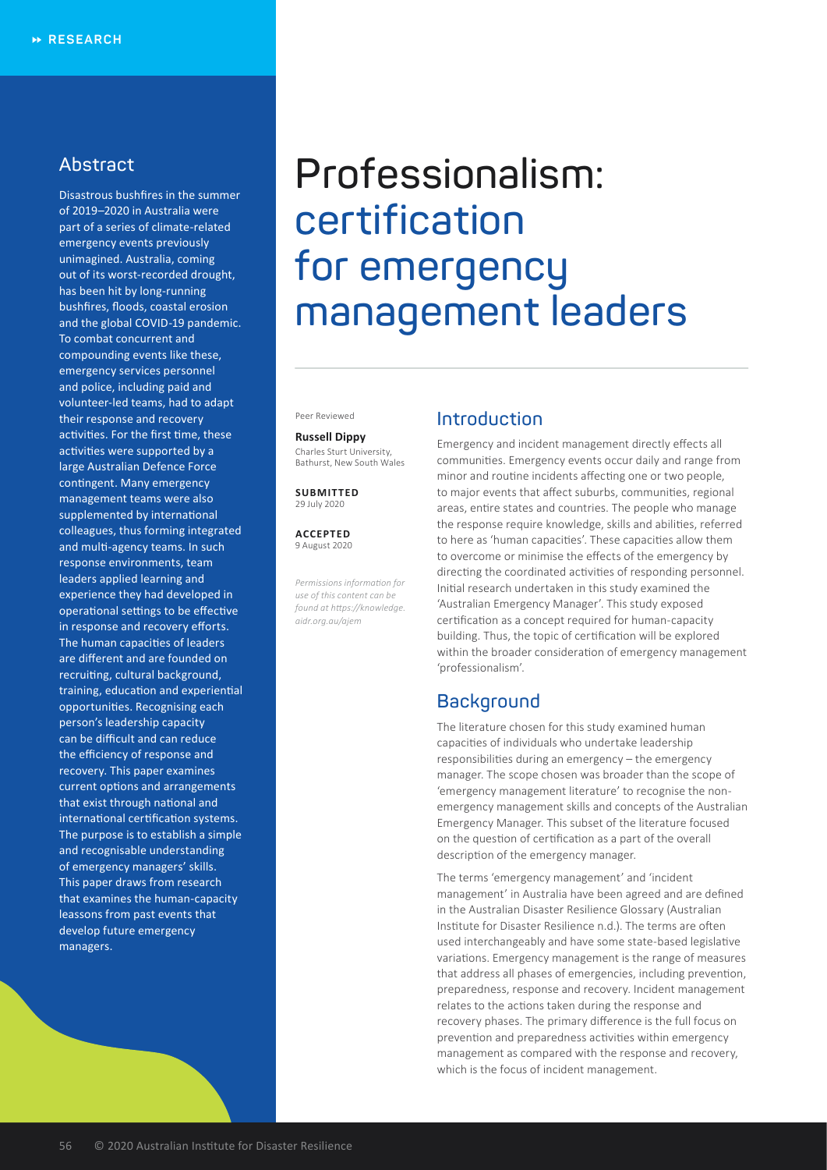# **Abstract**

Disastrous bushfires in the summer of 2019–2020 in Australia were part of a series of climate-related emergency events previously unimagined. Australia, coming out of its worst-recorded drought, has been hit by long-running bushfires, floods, coastal erosion and the global COVID-19 pandemic. To combat concurrent and compounding events like these, emergency services personnel and police, including paid and volunteer-led teams, had to adapt their response and recovery activities. For the first time, these activities were supported by a large Australian Defence Force contingent. Many emergency management teams were also supplemented by international colleagues, thus forming integrated and multi-agency teams. In such response environments, team leaders applied learning and experience they had developed in operational settings to be effective in response and recovery efforts. The human capacities of leaders are different and are founded on recruiting, cultural background, training, education and experiential opportunities. Recognising each person's leadership capacity can be difficult and can reduce the efficiency of response and recovery. This paper examines current options and arrangements that exist through national and international certification systems. The purpose is to establish a simple and recognisable understanding of emergency managers' skills. This paper draws from research that examines the human-capacity leassons from past events that develop future emergency managers.

# **Professionalism: certification for emergency management leaders**

Peer Reviewed

#### **Russell Dippy** Charles Sturt University, Bathurst, New South Wales

**SUBMITTED** 29 July 2020

**ACCEPTED** 9 August 2020

*Permissions information for use of this content can be found at https://knowledge. aidr.org.au/ajem*

## **Introduction**

Emergency and incident management directly effects all communities. Emergency events occur daily and range from minor and routine incidents affecting one or two people, to major events that affect suburbs, communities, regional areas, entire states and countries. The people who manage the response require knowledge, skills and abilities, referred to here as 'human capacities'. These capacities allow them to overcome or minimise the effects of the emergency by directing the coordinated activities of responding personnel. Initial research undertaken in this study examined the 'Australian Emergency Manager'. This study exposed certification as a concept required for human-capacity building. Thus, the topic of certification will be explored within the broader consideration of emergency management 'professionalism'.

## **Background**

The literature chosen for this study examined human capacities of individuals who undertake leadership responsibilities during an emergency – the emergency manager. The scope chosen was broader than the scope of 'emergency management literature' to recognise the nonemergency management skills and concepts of the Australian Emergency Manager. This subset of the literature focused on the question of certification as a part of the overall description of the emergency manager.

The terms 'emergency management' and 'incident management' in Australia have been agreed and are defined in the Australian Disaster Resilience Glossary (Australian Institute for Disaster Resilience n.d.). The terms are often used interchangeably and have some state-based legislative variations. Emergency management is the range of measures that address all phases of emergencies, including prevention, preparedness, response and recovery. Incident management relates to the actions taken during the response and recovery phases. The primary difference is the full focus on prevention and preparedness activities within emergency management as compared with the response and recovery, which is the focus of incident management.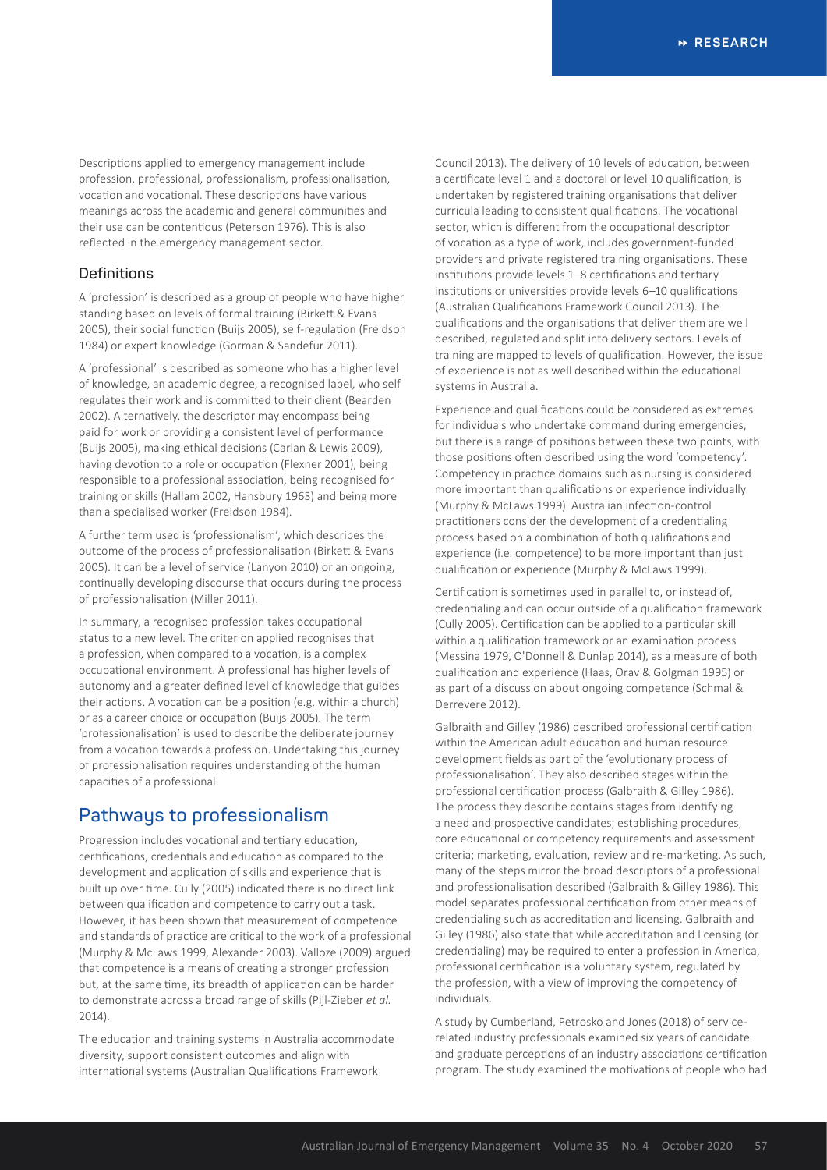Descriptions applied to emergency management include profession, professional, professionalism, professionalisation, vocation and vocational. These descriptions have various meanings across the academic and general communities and their use can be contentious (Peterson 1976). This is also reflected in the emergency management sector.

## **Definitions**

A 'profession' is described as a group of people who have higher standing based on levels of formal training (Birkett & Evans 2005), their social function (Buijs 2005), self-regulation (Freidson 1984) or expert knowledge (Gorman & Sandefur 2011).

A 'professional' is described as someone who has a higher level of knowledge, an academic degree, a recognised label, who self regulates their work and is committed to their client (Bearden 2002). Alternatively, the descriptor may encompass being paid for work or providing a consistent level of performance (Buijs 2005), making ethical decisions (Carlan & Lewis 2009), having devotion to a role or occupation (Flexner 2001), being responsible to a professional association, being recognised for training or skills (Hallam 2002, Hansbury 1963) and being more than a specialised worker (Freidson 1984).

A further term used is 'professionalism', which describes the outcome of the process of professionalisation (Birkett & Evans 2005). It can be a level of service (Lanyon 2010) or an ongoing, continually developing discourse that occurs during the process of professionalisation (Miller 2011).

In summary, a recognised profession takes occupational status to a new level. The criterion applied recognises that a profession, when compared to a vocation, is a complex occupational environment. A professional has higher levels of autonomy and a greater defined level of knowledge that guides their actions. A vocation can be a position (e.g. within a church) or as a career choice or occupation (Buijs 2005). The term 'professionalisation' is used to describe the deliberate journey from a vocation towards a profession. Undertaking this journey of professionalisation requires understanding of the human capacities of a professional.

# **Pathways to professionalism**

Progression includes vocational and tertiary education, certifications, credentials and education as compared to the development and application of skills and experience that is built up over time. Cully (2005) indicated there is no direct link between qualification and competence to carry out a task. However, it has been shown that measurement of competence and standards of practice are critical to the work of a professional (Murphy & McLaws 1999, Alexander 2003). Valloze (2009) argued that competence is a means of creating a stronger profession but, at the same time, its breadth of application can be harder to demonstrate across a broad range of skills (Pijl-Zieber *et al.*  $2014$ 

The education and training systems in Australia accommodate diversity, support consistent outcomes and align with international systems (Australian Qualifications Framework

Council 2013). The delivery of 10 levels of education, between a certificate level 1 and a doctoral or level 10 qualification, is undertaken by registered training organisations that deliver curricula leading to consistent qualifications. The vocational sector, which is different from the occupational descriptor of vocation as a type of work, includes government-funded providers and private registered training organisations. These institutions provide levels 1–8 certifications and tertiary institutions or universities provide levels 6–10 qualifications (Australian Qualifications Framework Council 2013). The qualifications and the organisations that deliver them are well described, regulated and split into delivery sectors. Levels of training are mapped to levels of qualification. However, the issue of experience is not as well described within the educational systems in Australia.

Experience and qualifications could be considered as extremes for individuals who undertake command during emergencies, but there is a range of positions between these two points, with those positions often described using the word 'competency'. Competency in practice domains such as nursing is considered more important than qualifications or experience individually (Murphy & McLaws 1999). Australian infection-control practitioners consider the development of a credentialing process based on a combination of both qualifications and experience (i.e. competence) to be more important than just qualification or experience (Murphy & McLaws 1999).

Certification is sometimes used in parallel to, or instead of, credentialing and can occur outside of a qualification framework (Cully 2005). Certification can be applied to a particular skill within a qualification framework or an examination process (Messina 1979, O'Donnell & Dunlap 2014), as a measure of both qualification and experience (Haas, Orav & Golgman 1995) or as part of a discussion about ongoing competence (Schmal & Derrevere 2012).

Galbraith and Gilley (1986) described professional certification within the American adult education and human resource development fields as part of the 'evolutionary process of professionalisation'. They also described stages within the professional certification process (Galbraith & Gilley 1986). The process they describe contains stages from identifying a need and prospective candidates; establishing procedures, core educational or competency requirements and assessment criteria; marketing, evaluation, review and re-marketing. As such, many of the steps mirror the broad descriptors of a professional and professionalisation described (Galbraith & Gilley 1986). This model separates professional certification from other means of credentialing such as accreditation and licensing. Galbraith and Gilley (1986) also state that while accreditation and licensing (or credentialing) may be required to enter a profession in America, professional certification is a voluntary system, regulated by the profession, with a view of improving the competency of individuals.

A study by Cumberland, Petrosko and Jones (2018) of servicerelated industry professionals examined six years of candidate and graduate perceptions of an industry associations certification program. The study examined the motivations of people who had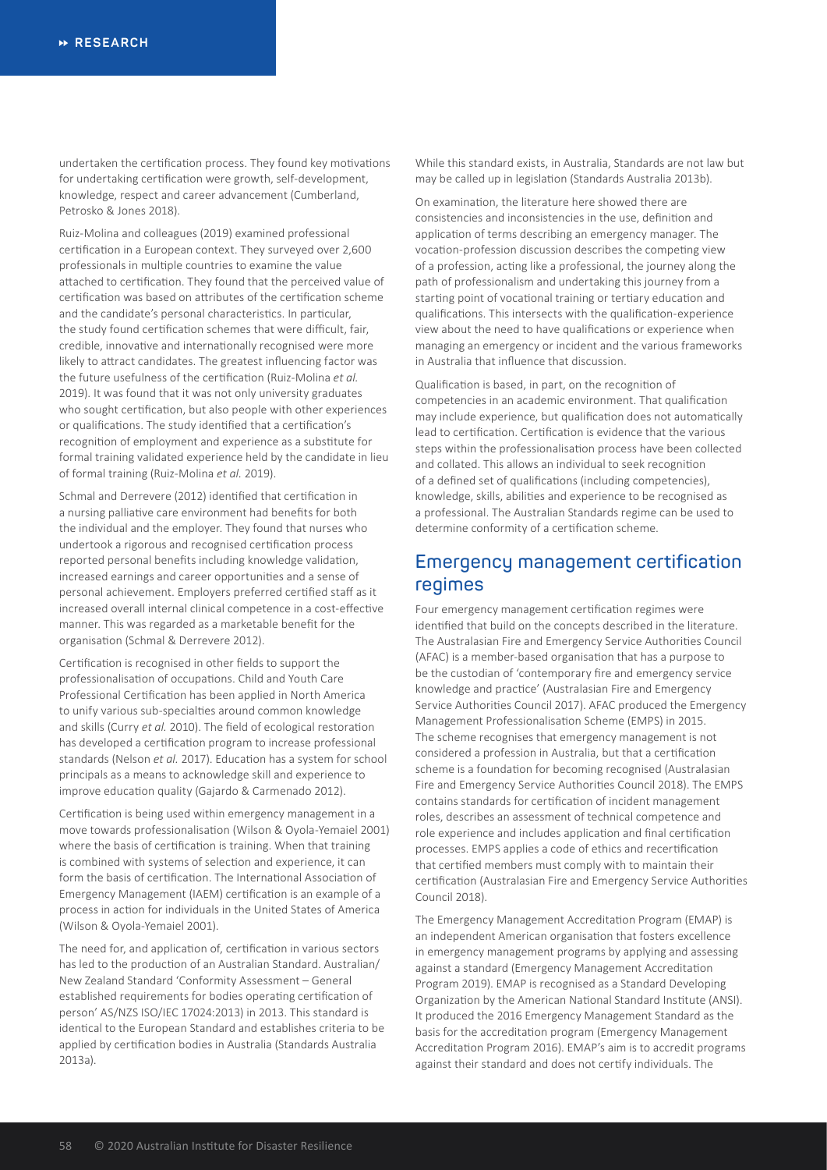undertaken the certification process. They found key motivations for undertaking certification were growth, self-development, knowledge, respect and career advancement (Cumberland, Petrosko & Jones 2018).

Ruiz-Molina and colleagues (2019) examined professional certification in a European context. They surveyed over 2,600 professionals in multiple countries to examine the value attached to certification. They found that the perceived value of certification was based on attributes of the certification scheme and the candidate's personal characteristics. In particular, the study found certification schemes that were difficult, fair, credible, innovative and internationally recognised were more likely to attract candidates. The greatest influencing factor was the future usefulness of the certification (Ruiz-Molina *et al.* 2019). It was found that it was not only university graduates who sought certification, but also people with other experiences or qualifications. The study identified that a certification's recognition of employment and experience as a substitute for formal training validated experience held by the candidate in lieu of formal training (Ruiz-Molina *et al.* 2019).

Schmal and Derrevere (2012) identified that certification in a nursing palliative care environment had benefits for both the individual and the employer. They found that nurses who undertook a rigorous and recognised certification process reported personal benefits including knowledge validation, increased earnings and career opportunities and a sense of personal achievement. Employers preferred certified staff as it increased overall internal clinical competence in a cost-effective manner. This was regarded as a marketable benefit for the organisation (Schmal & Derrevere 2012).

Certification is recognised in other fields to support the professionalisation of occupations. Child and Youth Care Professional Certification has been applied in North America to unify various sub-specialties around common knowledge and skills (Curry *et al.* 2010). The field of ecological restoration has developed a certification program to increase professional standards (Nelson *et al.* 2017). Education has a system for school principals as a means to acknowledge skill and experience to improve education quality (Gajardo & Carmenado 2012).

Certification is being used within emergency management in a move towards professionalisation (Wilson & Oyola-Yemaiel 2001) where the basis of certification is training. When that training is combined with systems of selection and experience, it can form the basis of certification. The International Association of Emergency Management (IAEM) certification is an example of a process in action for individuals in the United States of America (Wilson & Oyola-Yemaiel 2001).

The need for, and application of, certification in various sectors has led to the production of an Australian Standard. Australian/ New Zealand Standard 'Conformity Assessment – General established requirements for bodies operating certification of person' AS/NZS ISO/IEC 17024:2013) in 2013. This standard is identical to the European Standard and establishes criteria to be applied by certification bodies in Australia (Standards Australia 2013a).

While this standard exists, in Australia, Standards are not law but may be called up in legislation (Standards Australia 2013b).

On examination, the literature here showed there are consistencies and inconsistencies in the use, definition and application of terms describing an emergency manager. The vocation-profession discussion describes the competing view of a profession, acting like a professional, the journey along the path of professionalism and undertaking this journey from a starting point of vocational training or tertiary education and qualifications. This intersects with the qualification-experience view about the need to have qualifications or experience when managing an emergency or incident and the various frameworks in Australia that influence that discussion.

Qualification is based, in part, on the recognition of competencies in an academic environment. That qualification may include experience, but qualification does not automatically lead to certification. Certification is evidence that the various steps within the professionalisation process have been collected and collated. This allows an individual to seek recognition of a defined set of qualifications (including competencies), knowledge, skills, abilities and experience to be recognised as a professional. The Australian Standards regime can be used to determine conformity of a certification scheme.

## **Emergency management certification regimes**

Four emergency management certification regimes were identified that build on the concepts described in the literature. The Australasian Fire and Emergency Service Authorities Council (AFAC) is a member-based organisation that has a purpose to be the custodian of 'contemporary fire and emergency service knowledge and practice' (Australasian Fire and Emergency Service Authorities Council 2017). AFAC produced the Emergency Management Professionalisation Scheme (EMPS) in 2015. The scheme recognises that emergency management is not considered a profession in Australia, but that a certification scheme is a foundation for becoming recognised (Australasian Fire and Emergency Service Authorities Council 2018). The EMPS contains standards for certification of incident management roles, describes an assessment of technical competence and role experience and includes application and final certification processes. EMPS applies a code of ethics and recertification that certified members must comply with to maintain their certification (Australasian Fire and Emergency Service Authorities Council 2018).

The Emergency Management Accreditation Program (EMAP) is an independent American organisation that fosters excellence in emergency management programs by applying and assessing against a standard (Emergency Management Accreditation Program 2019). EMAP is recognised as a Standard Developing Organization by the American National Standard Institute (ANSI). It produced the 2016 Emergency Management Standard as the basis for the accreditation program (Emergency Management Accreditation Program 2016). EMAP's aim is to accredit programs against their standard and does not certify individuals. The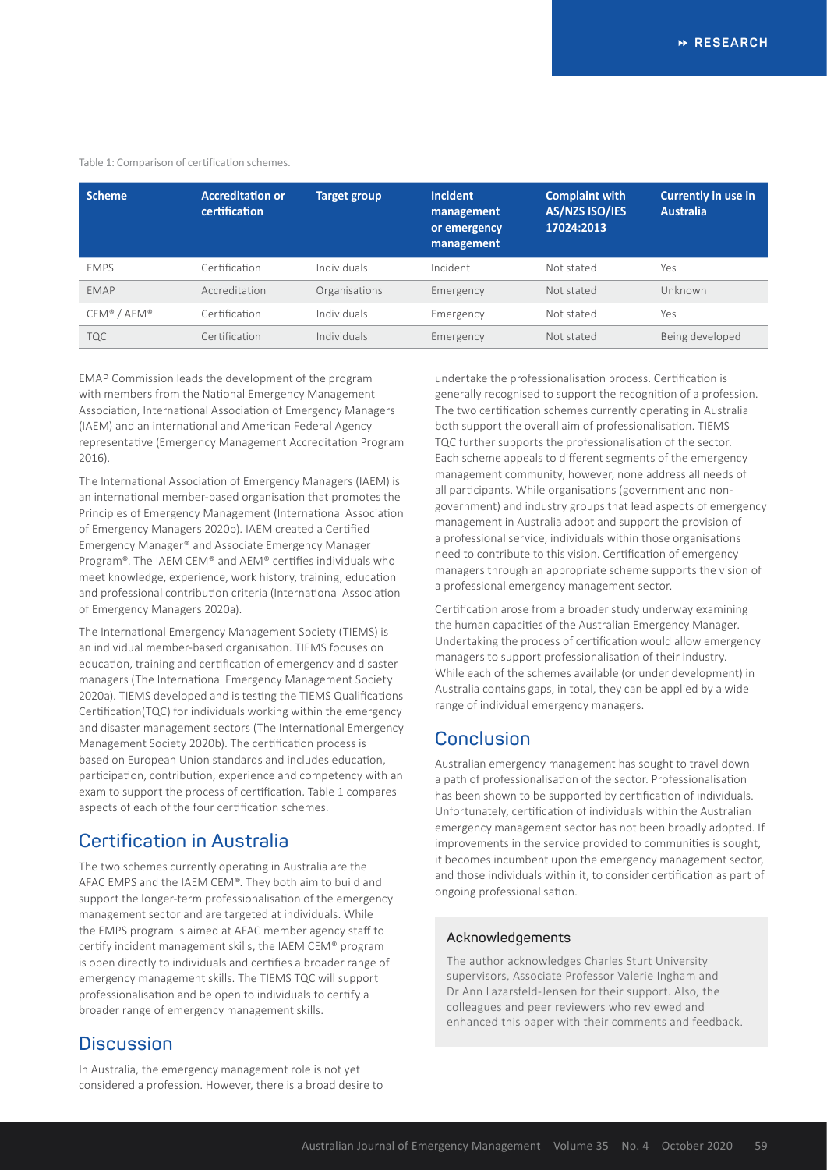#### Table 1: Comparison of certification schemes.

| <b>Scheme</b> | <b>Accreditation or</b><br>certification | <b>Target group</b> | <b>Incident</b><br>management<br>or emergency<br>management | <b>Complaint with</b><br>AS/NZS ISO/IES<br>17024:2013 | <b>Currently in use in</b><br><b>Australia</b> |
|---------------|------------------------------------------|---------------------|-------------------------------------------------------------|-------------------------------------------------------|------------------------------------------------|
| <b>EMPS</b>   | Certification                            | Individuals         | Incident                                                    | Not stated                                            | Yes                                            |
| EMAP          | Accreditation                            | Organisations       | Emergency                                                   | Not stated                                            | Unknown                                        |
| CEM® / AEM®   | Certification                            | Individuals         | Emergency                                                   | Not stated                                            | Yes                                            |
| <b>TQC</b>    | Certification                            | Individuals         | Emergency                                                   | Not stated                                            | Being developed                                |

EMAP Commission leads the development of the program with members from the National Emergency Management Association, International Association of Emergency Managers (IAEM) and an international and American Federal Agency representative (Emergency Management Accreditation Program 2016).

The International Association of Emergency Managers (IAEM) is an international member-based organisation that promotes the Principles of Emergency Management (International Association of Emergency Managers 2020b). IAEM created a Certified Emergency Manager® and Associate Emergency Manager Program®. The IAEM CEM® and AEM® certifies individuals who meet knowledge, experience, work history, training, education and professional contribution criteria (International Association of Emergency Managers 2020a).

The International Emergency Management Society (TIEMS) is an individual member-based organisation. TIEMS focuses on education, training and certification of emergency and disaster managers (The International Emergency Management Society 2020a). TIEMS developed and is testing the TIEMS Qualifications Certification(TQC) for individuals working within the emergency and disaster management sectors (The International Emergency Management Society 2020b). The certification process is based on European Union standards and includes education, participation, contribution, experience and competency with an exam to support the process of certification. Table 1 compares aspects of each of the four certification schemes.

## **Certification in Australia**

The two schemes currently operating in Australia are the AFAC EMPS and the IAEM CEM®. They both aim to build and support the longer-term professionalisation of the emergency management sector and are targeted at individuals. While the EMPS program is aimed at AFAC member agency staff to certify incident management skills, the IAEM CEM® program is open directly to individuals and certifies a broader range of emergency management skills. The TIEMS TQC will support professionalisation and be open to individuals to certify a broader range of emergency management skills.

## **Discussion**

In Australia, the emergency management role is not yet considered a profession. However, there is a broad desire to undertake the professionalisation process. Certification is generally recognised to support the recognition of a profession. The two certification schemes currently operating in Australia both support the overall aim of professionalisation. TIEMS TQC further supports the professionalisation of the sector. Each scheme appeals to different segments of the emergency management community, however, none address all needs of all participants. While organisations (government and nongovernment) and industry groups that lead aspects of emergency management in Australia adopt and support the provision of a professional service, individuals within those organisations need to contribute to this vision. Certification of emergency managers through an appropriate scheme supports the vision of a professional emergency management sector.

Certification arose from a broader study underway examining the human capacities of the Australian Emergency Manager. Undertaking the process of certification would allow emergency managers to support professionalisation of their industry. While each of the schemes available (or under development) in Australia contains gaps, in total, they can be applied by a wide range of individual emergency managers.

## **Conclusion**

Australian emergency management has sought to travel down a path of professionalisation of the sector. Professionalisation has been shown to be supported by certification of individuals. Unfortunately, certification of individuals within the Australian emergency management sector has not been broadly adopted. If improvements in the service provided to communities is sought, it becomes incumbent upon the emergency management sector, and those individuals within it, to consider certification as part of ongoing professionalisation.

### **Acknowledgements**

The author acknowledges Charles Sturt University supervisors, Associate Professor Valerie Ingham and Dr Ann Lazarsfeld-Jensen for their support. Also, the colleagues and peer reviewers who reviewed and enhanced this paper with their comments and feedback.